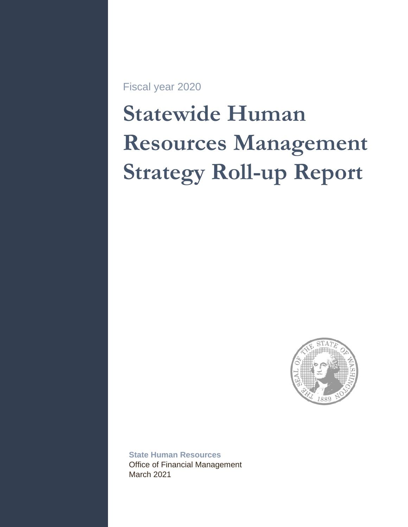Fiscal year 2020

# **Statewide Human Resources Management Strategy Roll-up Report**



**State Human Resources**  Office of Financial Management March 2021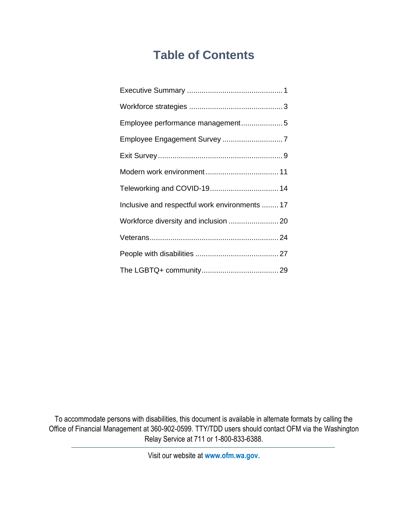# **Table of Contents**

| Employee performance management5               |  |
|------------------------------------------------|--|
|                                                |  |
|                                                |  |
|                                                |  |
| Teleworking and COVID-19 14                    |  |
| Inclusive and respectful work environments  17 |  |
| Workforce diversity and inclusion  20          |  |
|                                                |  |
|                                                |  |
|                                                |  |

To accommodate persons with disabilities, this document is available in alternate formats by calling the Office of Financial Management at 360-902-0599. TTY/TDD users should contact OFM via the Washington Relay Service at 711 or 1-800-833-6388.

Visit our website at **www.ofm.wa.gov.**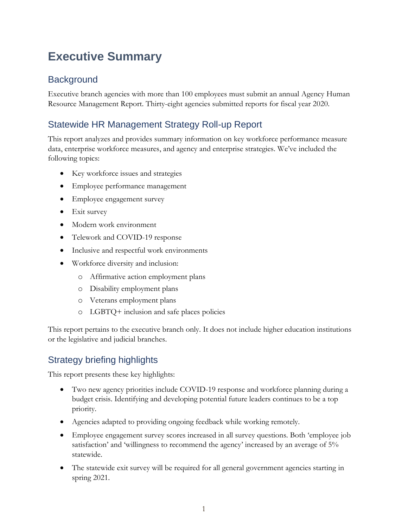# <span id="page-2-0"></span>**Executive Summary**

### **Background**

Executive branch agencies with more than 100 employees must submit an annual Agency Human Resource Management Report. Thirty-eight agencies submitted reports for fiscal year 2020.

### Statewide HR Management Strategy Roll-up Report

This report analyzes and provides summary information on key workforce performance measure data, enterprise workforce measures, and agency and enterprise strategies. We've included the following topics:

- Key workforce issues and strategies
- Employee performance management
- Employee engagement survey
- Exit survey
- Modern work environment
- Telework and COVID-19 response
- Inclusive and respectful work environments
- Workforce diversity and inclusion:
	- o Affirmative action employment plans
	- o Disability employment plans
	- o Veterans employment plans
	- o LGBTQ+ inclusion and safe places policies

This report pertains to the executive branch only. It does not include higher education institutions or the legislative and judicial branches.

### Strategy briefing highlights

This report presents these key highlights:

- Two new agency priorities include COVID-19 response and workforce planning during a budget crisis. Identifying and developing potential future leaders continues to be a top priority.
- Agencies adapted to providing ongoing feedback while working remotely.
- Employee engagement survey scores increased in all survey questions. Both 'employee job satisfaction' and 'willingness to recommend the agency' increased by an average of 5% statewide.
- The statewide exit survey will be required for all general government agencies starting in spring 2021.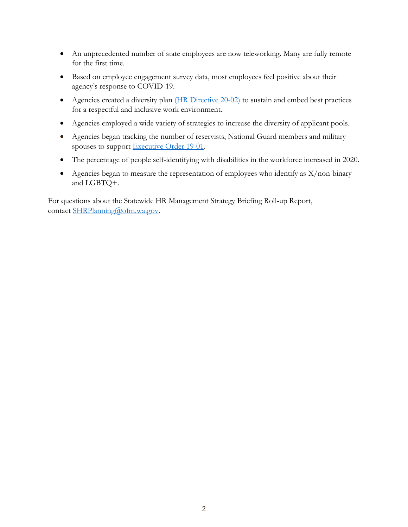- An unprecedented number of state employees are now teleworking. Many are fully remote for the first time.
- Based on employee engagement survey data, most employees feel positive about their agency's response to COVID-19.
- Agencies created a diversity plan [\(HR Directive 20-02\)](https://www.ofm.wa.gov/sites/default/files/public/shr/Directives/WorkforceDiversityDirective.pdf) to sustain and embed best practices for a respectful and inclusive work environment.
- Agencies employed a wide variety of strategies to increase the diversity of applicant pools.
- Agencies began tracking the number of reservists, National Guard members and military spouses to support [Executive Order 19-01.](https://www.governor.wa.gov/sites/default/files/exe_order/19-01_VeteranAndMilitaryFamily%20.pdf)
- The percentage of people self-identifying with disabilities in the workforce increased in 2020.
- Agencies began to measure the representation of employees who identify as X/non-binary and LGBTQ+.

For questions about the Statewide HR Management Strategy Briefing Roll-up Report, contact [SHRPlanning@ofm.wa.gov.](mailto:SHRPlanning@ofm.wa.gov)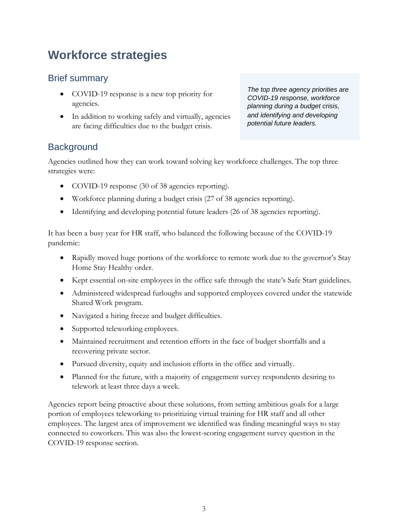# <span id="page-4-0"></span>**Workforce strategies**

### Brief summary

- COVID-19 response is a new top priority for agencies.
- In addition to working safely and virtually, agencies are facing difficulties due to the budget crisis.

*The top three agency priorities are COVID-19 response, workforce planning during a budget crisis, and identifying and developing potential future leaders.*

### **Background**

Agencies outlined how they can work toward solving key workforce challenges. The top three strategies were:

- COVID-19 response (30 of 38 agencies reporting).
- Workforce planning during a budget crisis (27 of 38 agencies reporting).
- Identifying and developing potential future leaders (26 of 38 agencies reporting).

It has been a busy year for HR staff, who balanced the following because of the COVID-19 pandemic:

- Rapidly moved huge portions of the workforce to remote work due to the governor's Stay Home Stay Healthy order.
- Kept essential on-site employees in the office safe through the state's Safe Start guidelines.
- Administered widespread furloughs and supported employees covered under the statewide Shared Work program.
- Navigated a hiring freeze and budget difficulties.
- Supported teleworking employees.
- Maintained recruitment and retention efforts in the face of budget shortfalls and a recovering private sector.
- Pursued diversity, equity and inclusion efforts in the office and virtually.
- Planned for the future, with a majority of engagement survey respondents desiring to telework at least three days a week.

Agencies report being proactive about these solutions, from setting ambitious goals for a large portion of employees teleworking to prioritizing virtual training for HR staff and all other employees. The largest area of improvement we identified was finding meaningful ways to stay connected to coworkers. This was also the lowest-scoring engagement survey question in the COVID-19 response section.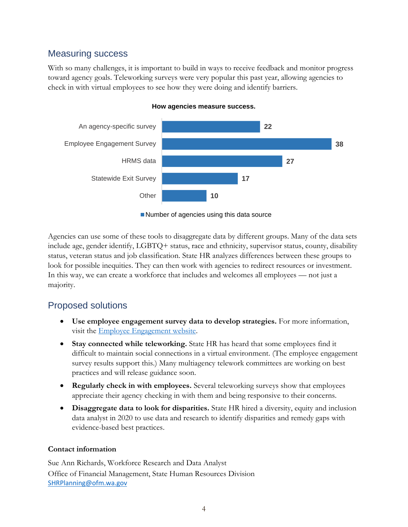### Measuring success

With so many challenges, it is important to build in ways to receive feedback and monitor progress toward agency goals. Teleworking surveys were very popular this past year, allowing agencies to check in with virtual employees to see how they were doing and identify barriers.



#### **How agencies measure success.**

■ Number of agencies using this data source

Agencies can use some of these tools to disaggregate data by different groups. Many of the data sets include age, gender identify, LGBTQ+ status, race and ethnicity, supervisor status, county, disability status, veteran status and job classification. State HR analyzes differences between these groups to look for possible inequities. They can then work with agencies to redirect resources or investment. In this way, we can create a workforce that includes and welcomes all employees — not just a majority.

### Proposed solutions

- **Use employee engagement survey data to develop strategies.** For more information, visit the [Employee Engagement website.](https://www.ofm.wa.gov/state-human-resources/workforce-data-planning/state-employee-engagement-survey)
- **Stay connected while teleworking.** State HR has heard that some employees find it difficult to maintain social connections in a virtual environment. (The employee engagement survey results support this.) Many multiagency telework committees are working on best practices and will release guidance soon.
- **Regularly check in with employees.** Several teleworking surveys show that employees appreciate their agency checking in with them and being responsive to their concerns.
- **Disaggregate data to look for disparities.** State HR hired a diversity, equity and inclusion data analyst in 2020 to use data and research to identify disparities and remedy gaps with evidence-based best practices.

### **Contact information**

Sue Ann Richards, Workforce Research and Data Analyst Office of Financial Management, State Human Resources Division [SHRPlanning@ofm.wa.gov](mailto:SHRPlanning@ofm.wa.gov)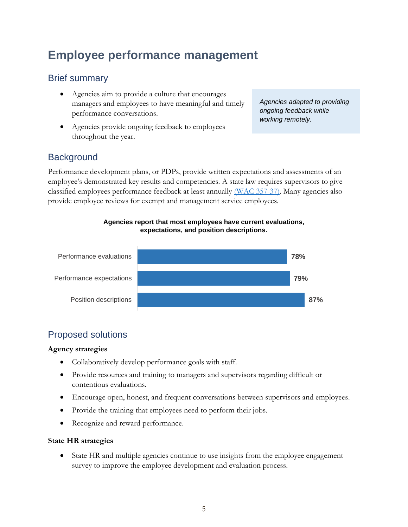# <span id="page-6-0"></span>**Employee performance management**

### Brief summary

- Agencies aim to provide a culture that encourages managers and employees to have meaningful and timely performance conversations.
- Agencies provide ongoing feedback to employees throughout the year.

*Agencies adapted to providing ongoing feedback while working remotely.* 

### **Background**

Performance development plans, or PDPs, provide written expectations and assessments of an employee's demonstrated key results and competencies. A state law requires supervisors to give classified employees performance feedback at least annually [\(WAC 357-37\)](https://apps.leg.wa.gov/wac/default.aspx?cite=357-37). Many agencies also provide employee reviews for exempt and management service employees.

#### **Agencies report that most employees have current evaluations, expectations, and position descriptions.**



### Proposed solutions

### **Agency strategies**

- Collaboratively develop performance goals with staff.
- Provide resources and training to managers and supervisors regarding difficult or contentious evaluations.
- Encourage open, honest, and frequent conversations between supervisors and employees.
- Provide the training that employees need to perform their jobs.
- Recognize and reward performance.

#### **State HR strategies**

• State HR and multiple agencies continue to use insights from the employee engagement survey to improve the employee development and evaluation process.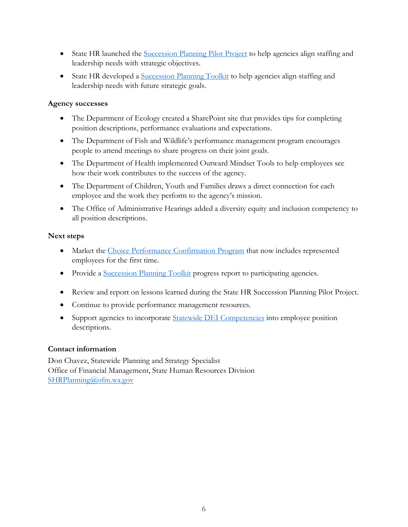- State HR launched the [Succession Planning Pilot Project](https://ofm.wa.gov/state-human-resources/workforce-data-planning/workforce-planning/levels-workforce-planning) to help agencies align staffing and leadership needs with strategic objectives.
- State HR developed a [Succession Planning Toolkit](https://ofm.wa.gov/state-human-resources/workforce-data-planning/workforce-planning/levels-workforce-planning) to help agencies align staffing and leadership needs with future strategic goals.

#### **Agency successes**

- The Department of Ecology created a SharePoint site that provides tips for completing position descriptions, performance evaluations and expectations.
- The Department of Fish and Wildlife's performance management program encourages people to attend meetings to share progress on their joint goals.
- The Department of Health implemented Outward Mindset Tools to help employees see how their work contributes to the success of the agency.
- The Department of Children, Youth and Families draws a direct connection for each employee and the work they perform to the agency's mission.
- The Office of Administrative Hearings added a diversity equity and inclusion competency to all position descriptions.

### **Next steps**

- Market the [Choice Performance Confirmation Program](https://www.ofm.wa.gov/state-human-resources/workforce-data-planning/employee-performance-management/choice-performance-confirmation-program) that now includes represented employees for the first time.
- Provide a [Succession Planning Toolkit](https://ofm.wa.gov/state-human-resources/workforce-data-planning/workforce-planning/levels-workforce-planning) progress report to participating agencies.
- Review and report on lessons learned during the State HR Succession Planning Pilot Project.
- Continue to provide performance management resources.
- Support agencies to incorporate [Statewide DEI Competencies](https://ofm.wa.gov/sites/default/files/public/shr/Diversity/SubCommit/DEI%20Competencies%20Wrkgrp%20All%20Employees%20Final%20Draft%20Accessible%2011-18-19.pdf) into employee position descriptions.

### **Contact information**

Don Chavez, Statewide Planning and Strategy Specialist Office of Financial Management, State Human Resources Division [SHRPlanning@ofm.wa.gov](mailto:SHRPlanning@ofm.wa.gov)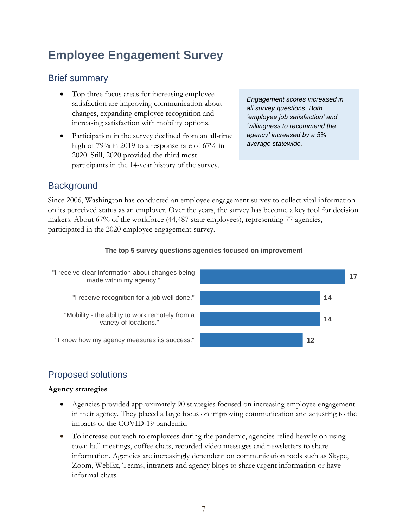# <span id="page-8-0"></span>**Employee Engagement Survey**

### Brief summary

- Top three focus areas for increasing employee satisfaction are improving communication about changes, expanding employee recognition and increasing satisfaction with mobility options.
- Participation in the survey declined from an all-time high of 79% in 2019 to a response rate of 67% in 2020. Still, 2020 provided the third most participants in the 14-year history of the survey.

*Engagement scores increased in all survey questions. Both 'employee job satisfaction' and 'willingness to recommend the agency' increased by a 5% average statewide.*

### **Background**

Since 2006, Washington has conducted an employee engagement survey to collect vital information on its perceived status as an employer. Over the years, the survey has become a key tool for decision makers. About 67% of the workforce (44,487 state employees), representing 77 agencies, participated in the 2020 employee engagement survey.

#### **The top 5 survey questions agencies focused on improvement**



### Proposed solutions

### **Agency strategies**

- Agencies provided approximately 90 strategies focused on increasing employee engagement in their agency. They placed a large focus on improving communication and adjusting to the impacts of the COVID-19 pandemic.
- To increase outreach to employees during the pandemic, agencies relied heavily on using town hall meetings, coffee chats, recorded video messages and newsletters to share information. Agencies are increasingly dependent on communication tools such as Skype, Zoom, WebEx, Teams, intranets and agency blogs to share urgent information or have informal chats.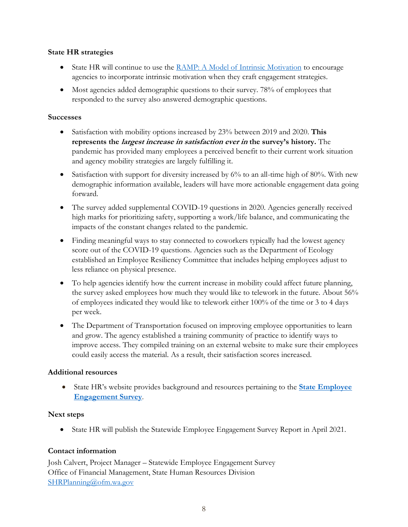#### **State HR strategies**

- State HR will continue to use the [RAMP: A Model of Intrinsic Motivation](https://ofm.wa.gov/sites/default/files/public/shr/RAMP%20Handout.pdf) to encourage agencies to incorporate intrinsic motivation when they craft engagement strategies.
- Most agencies added demographic questions to their survey. 78% of employees that responded to the survey also answered demographic questions.

#### **Successes**

- Satisfaction with mobility options increased by 23% between 2019 and 2020. **This represents the largest increase in satisfaction ever in the survey's history.** The pandemic has provided many employees a perceived benefit to their current work situation and agency mobility strategies are largely fulfilling it.
- Satisfaction with support for diversity increased by 6% to an all-time high of 80%. With new demographic information available, leaders will have more actionable engagement data going forward.
- The survey added supplemental COVID-19 questions in 2020. Agencies generally received high marks for prioritizing safety, supporting a work/life balance, and communicating the impacts of the constant changes related to the pandemic.
- Finding meaningful ways to stay connected to coworkers typically had the lowest agency score out of the COVID-19 questions. Agencies such as the Department of Ecology established an Employee Resiliency Committee that includes helping employees adjust to less reliance on physical presence.
- To help agencies identify how the current increase in mobility could affect future planning, the survey asked employees how much they would like to telework in the future. About 56% of employees indicated they would like to telework either 100% of the time or 3 to 4 days per week.
- The Department of Transportation focused on improving employee opportunities to learn and grow. The agency established a training community of practice to identify ways to improve access. They compiled training on an external website to make sure their employees could easily access the material. As a result, their satisfaction scores increased.

### **Additional resources**

• State HR's website provides background and resources pertaining to the **[State Employee](https://ofm.wa.gov/state-human-resources/workforce-data-planning/state-employee-engagement-survey)  [Engagement Survey](https://ofm.wa.gov/state-human-resources/workforce-data-planning/state-employee-engagement-survey)**.

### **Next steps**

• State HR will publish the Statewide Employee Engagement Survey Report in April 2021.

### **Contact information**

Josh Calvert, Project Manager – Statewide Employee Engagement Survey Office of Financial Management, State Human Resources Division [SHRPlanning@ofm.wa.gov](mailto:SHRPlanning@ofm.wa.gov)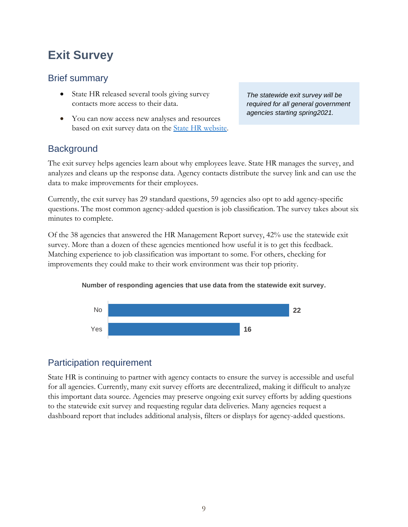# <span id="page-10-0"></span>**Exit Survey**

### Brief summary

- State HR released several tools giving survey contacts more access to their data.
- You can now access new analyses and resources based on exit survey data on the **State HR** website.

*The statewide exit survey will be required for all general government agencies starting spring2021.*

### **Background**

The exit survey helps agencies learn about why employees leave. State HR manages the survey, and analyzes and cleans up the response data. Agency contacts distribute the survey link and can use the data to make improvements for their employees.

Currently, the exit survey has 29 standard questions, 59 agencies also opt to add agency-specific questions. The most common agency-added question is job classification. The survey takes about six minutes to complete.

Of the 38 agencies that answered the HR Management Report survey, 42% use the statewide exit survey. More than a dozen of these agencies mentioned how useful it is to get this feedback. Matching experience to job classification was important to some. For others, checking for improvements they could make to their work environment was their top priority.

### **Number of responding agencies that use data from the statewide exit survey.**



### Participation requirement

State HR is continuing to partner with agency contacts to ensure the survey is accessible and useful for all agencies. Currently, many exit survey efforts are decentralized, making it difficult to analyze this important data source. Agencies may preserve ongoing exit survey efforts by adding questions to the statewide exit survey and requesting regular data deliveries. Many agencies request a dashboard report that includes additional analysis, filters or displays for agency-added questions.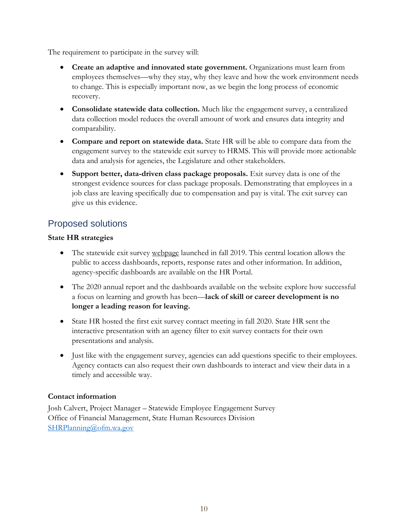The requirement to participate in the survey will:

- **Create an adaptive and innovated state government.** Organizations must learn from employees themselves—why they stay, why they leave and how the work environment needs to change. This is especially important now, as we begin the long process of economic recovery.
- **Consolidate statewide data collection.** Much like the engagement survey, a centralized data collection model reduces the overall amount of work and ensures data integrity and comparability.
- **Compare and report on statewide data.** State HR will be able to compare data from the engagement survey to the statewide exit survey to HRMS. This will provide more actionable data and analysis for agencies, the Legislature and other stakeholders.
- **Support better, data-driven class package proposals.** Exit survey data is one of the strongest evidence sources for class package proposals. Demonstrating that employees in a job class are leaving specifically due to compensation and pay is vital. The exit survey can give us this evidence.

### Proposed solutions

#### **State HR strategies**

- The statewide exit survey [webpage](https://www.ofm.wa.gov/state-human-resources/workforce-data-planning/statewide-exit-survey) launched in fall 2019. This central location allows the public to access dashboards, reports, response rates and other information. In addition, agency-specific dashboards are available on the HR Portal.
- The 2020 annual report and the dashboards available on the website explore how successful a focus on learning and growth has been—**lack of skill or career development is no longer a leading reason for leaving.**
- State HR hosted the first exit survey contact meeting in fall 2020. State HR sent the interactive presentation with an agency filter to exit survey contacts for their own presentations and analysis.
- Just like with the engagement survey, agencies can add questions specific to their employees. Agency contacts can also request their own dashboards to interact and view their data in a timely and accessible way.

### **Contact information**

Josh Calvert, Project Manager – Statewide Employee Engagement Survey Office of Financial Management, State Human Resources Division [SHRPlanning@ofm.wa.gov](mailto:SHRPlanning@ofm.wa.gov)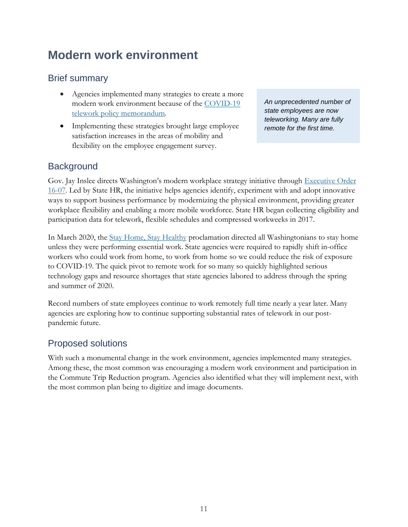# <span id="page-12-0"></span>**Modern work environment**

### Brief summary

- Agencies implemented many strategies to create a more modern work environment because of the [COVID-19](https://ofm.wa.gov/state-human-resources/coronavirus-covid-19-hr-guidance-state-agencies/covid-19-telework-policy-memorandum)  [telework policy memorandum.](https://ofm.wa.gov/state-human-resources/coronavirus-covid-19-hr-guidance-state-agencies/covid-19-telework-policy-memorandum)
- Implementing these strategies brought large employee satisfaction increases in the areas of mobility and flexibility on the employee engagement survey.

*An unprecedented number of state employees are now teleworking. Many are fully remote for the first time.* 

### **Background**

Gov. Jay Inslee directs Washington's modern workplace strategy initiative through [Executive Order](https://www.governor.wa.gov/sites/default/files/exe_order/eo_16-07.pdf)  [16-07.](https://www.governor.wa.gov/sites/default/files/exe_order/eo_16-07.pdf) Led by State HR, the initiative helps agencies identify, experiment with and adopt innovative ways to support business performance by modernizing the physical environment, providing greater workplace flexibility and enabling a more mobile workforce. State HR began collecting eligibility and participation data for telework, flexible schedules and compressed workweeks in 2017.

In March 2020, the [Stay Home, Stay Healthy](https://www.governor.wa.gov/sites/default/files/20-25.1%20-%20COVID-19%20-%20Stay%20Home%2C%20Stay%20Healthy%20Extension%20%28tmp%29.pdf?utm_medium=email&utm_source=govdelivery) proclamation directed all Washingtonians to stay home unless they were performing essential work. State agencies were required to rapidly shift in-office workers who could work from home, to work from home so we could reduce the risk of exposure to COVID-19. The quick pivot to remote work for so many so quickly highlighted serious technology gaps and resource shortages that state agencies labored to address through the spring and summer of 2020.

Record numbers of state employees continue to work remotely full time nearly a year later. Many agencies are exploring how to continue supporting substantial rates of telework in our postpandemic future.

### Proposed solutions

With such a monumental change in the work environment, agencies implemented many strategies. Among these, the most common was encouraging a modern work environment and participation in the Commute Trip Reduction program. Agencies also identified what they will implement next, with the most common plan being to digitize and image documents.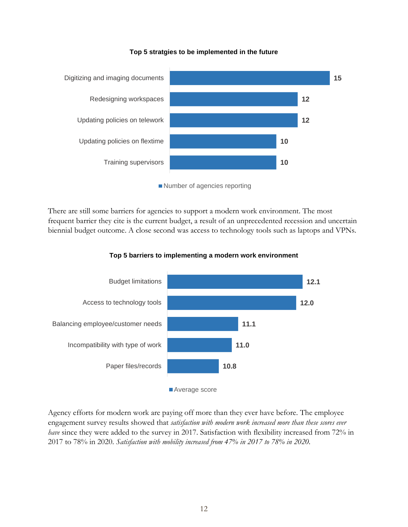

**Top 5 stratgies to be implemented in the future**

Number of agencies reporting

There are still some barriers for agencies to support a modern work environment. The most frequent barrier they cite is the current budget, a result of an unprecedented recession and uncertain biennial budget outcome. A close second was access to technology tools such as laptops and VPNs.



**Top 5 barriers to implementing a modern work environment**

Agency efforts for modern work are paying off more than they ever have before. The employee engagement survey results showed that *satisfaction with modern work increased more than these scores ever have* since they were added to the survey in 2017. Satisfaction with flexibility increased from 72% in 2017 to 78% in 2020. *Satisfaction with mobility increased from 47% in 2017 to 78% in 2020.*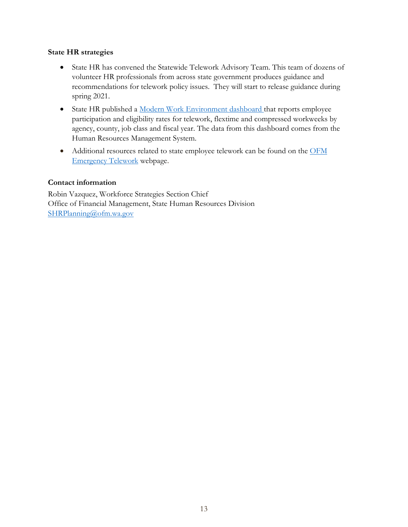#### **State HR strategies**

- State HR has convened the Statewide Telework Advisory Team. This team of dozens of volunteer HR professionals from across state government produces guidance and recommendations for telework policy issues. They will start to release guidance during spring 2021.
- State HR published a [Modern Work Environment dashboard t](https://ofm.wa.gov/state-human-resources/workforce-data-planning/hr-management-report/modern-work-environment-dashboard)hat reports employee participation and eligibility rates for telework, flextime and compressed workweeks by agency, county, job class and fiscal year. The data from this dashboard comes from the Human Resources Management System.
- Additional resources related to state employee telework can be found on the OFM [Emergency Telework](https://ofm.wa.gov/state-human-resources/coronavirus-covid-19-hr-guidance-state-agencies/telework-resources-during-covid-19-pandemic) webpage.

#### **Contact information**

Robin Vazquez, Workforce Strategies Section Chief Office of Financial Management, State Human Resources Division [SHRPlanning@ofm.wa.gov](mailto:SHRPlanning@ofm.wa.gov)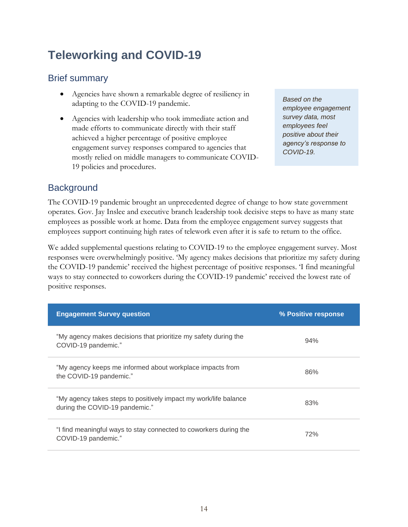# <span id="page-15-0"></span>**Teleworking and COVID-19**

### Brief summary

- Agencies have shown a remarkable degree of resiliency in adapting to the COVID-19 pandemic.
- Agencies with leadership who took immediate action and made efforts to communicate directly with their staff achieved a higher percentage of positive employee engagement survey responses compared to agencies that mostly relied on middle managers to communicate COVID-19 policies and procedures.

*Based on the employee engagement survey data, most employees feel positive about their agency's response to COVID-19.*

### **Background**

The COVID-19 pandemic brought an unprecedented degree of change to how state government operates. Gov. Jay Inslee and executive branch leadership took decisive steps to have as many state employees as possible work at home. Data from the employee engagement survey suggests that employees support continuing high rates of telework even after it is safe to return to the office.

We added supplemental questions relating to COVID-19 to the employee engagement survey. Most responses were overwhelmingly positive. 'My agency makes decisions that prioritize my safety during the COVID-19 pandemic' received the highest percentage of positive responses. 'I find meaningful ways to stay connected to coworkers during the COVID-19 pandemic' received the lowest rate of positive responses.

| <b>Engagement Survey question</b>                                                                  | % Positive response |
|----------------------------------------------------------------------------------------------------|---------------------|
| "My agency makes decisions that prioritize my safety during the<br>COVID-19 pandemic."             | 94%                 |
| "My agency keeps me informed about workplace impacts from<br>the COVID-19 pandemic."               | 86%                 |
| "My agency takes steps to positively impact my work/life balance<br>during the COVID-19 pandemic." | 83%                 |
| "I find meaningful ways to stay connected to coworkers during the<br>COVID-19 pandemic."           | 72%                 |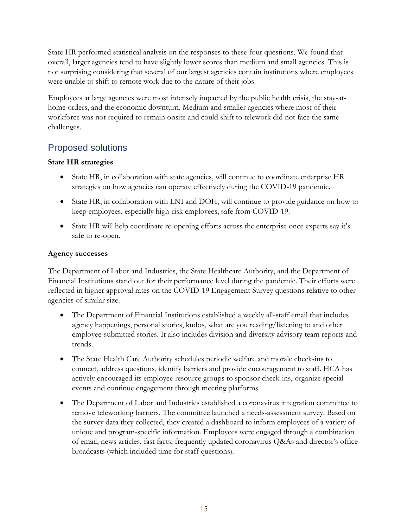State HR performed statistical analysis on the responses to these four questions. We found that overall, larger agencies tend to have slightly lower scores than medium and small agencies. This is not surprising considering that several of our largest agencies contain institutions where employees were unable to shift to remote work due to the nature of their jobs.

Employees at large agencies were most intensely impacted by the public health crisis, the stay-athome orders, and the economic downturn. Medium and smaller agencies where most of their workforce was not required to remain onsite and could shift to telework did not face the same challenges.

### Proposed solutions

### **State HR strategies**

- State HR, in collaboration with state agencies, will continue to coordinate enterprise HR strategies on how agencies can operate effectively during the COVID-19 pandemic.
- State HR, in collaboration with LNI and DOH, will continue to provide guidance on how to keep employees, especially high-risk employees, safe from COVID-19.
- State HR will help coordinate re-opening efforts across the enterprise once experts say it's safe to re-open.

### **Agency successes**

The Department of Labor and Industries, the State Healthcare Authority, and the Department of Financial Institutions stand out for their performance level during the pandemic. Their efforts were reflected in higher approval rates on the COVID-19 Engagement Survey questions relative to other agencies of similar size.

- The Department of Financial Institutions established a weekly all-staff email that includes agency happenings, personal stories, kudos, what are you reading/listening to and other employee-submitted stories. It also includes division and diversity advisory team reports and trends.
- The State Health Care Authority schedules periodic welfare and morale check-ins to connect, address questions, identify barriers and provide encouragement to staff. HCA has actively encouraged its employee resource groups to sponsor check-ins, organize special events and continue engagement through meeting platforms.
- The Department of Labor and Industries established a coronavirus integration committee to remove teleworking barriers. The committee launched a needs-assessment survey. Based on the survey data they collected, they created a dashboard to inform employees of a variety of unique and program-specific information. Employees were engaged through a combination of email, news articles, fast facts, frequently updated coronavirus Q&As and director's office broadcasts (which included time for staff questions).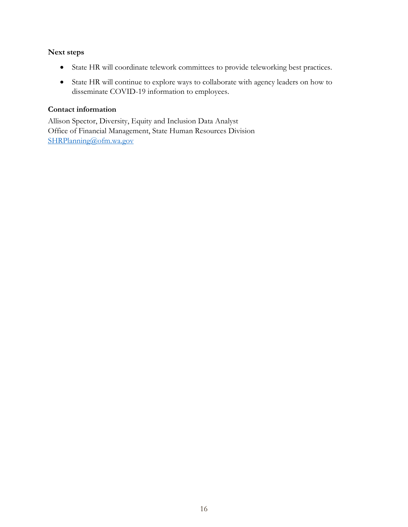#### **Next steps**

- State HR will coordinate telework committees to provide teleworking best practices.
- State HR will continue to explore ways to collaborate with agency leaders on how to disseminate COVID-19 information to employees.

#### **Contact information**

Allison Spector, Diversity, Equity and Inclusion Data Analyst Office of Financial Management, State Human Resources Division [SHRPlanning@ofm.wa.gov](mailto:SHRPlanning@ofm.wa.gov)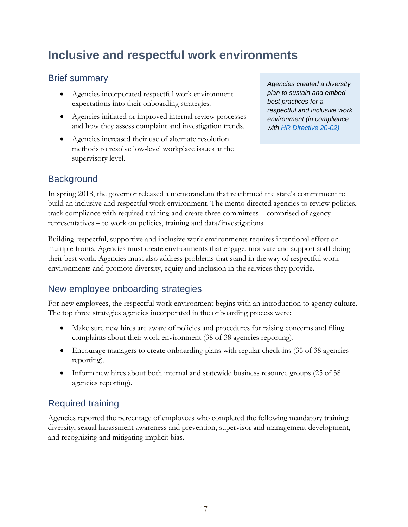# <span id="page-18-0"></span>**Inclusive and respectful work environments**

### Brief summary

- Agencies incorporated respectful work environment expectations into their onboarding strategies.
- Agencies initiated or improved internal review processes and how they assess complaint and investigation trends.
- Agencies increased their use of alternate resolution methods to resolve low-level workplace issues at the supervisory level.

*Agencies created a diversity plan to sustain and embed best practices for a respectful and inclusive work environment (in compliance with [HR Directive 20-02\)](https://www.ofm.wa.gov/sites/default/files/public/shr/Directives/WorkforceDiversityDirective.pdf)*

### **Background**

In spring 2018, the governor released a memorandum that reaffirmed the state's commitment to build an inclusive and respectful work environment. The memo directed agencies to review policies, track compliance with required training and create three committees – comprised of agency representatives – to work on policies, training and data/investigations.

Building respectful, supportive and inclusive work environments requires intentional effort on multiple fronts. Agencies must create environments that engage, motivate and support staff doing their best work. Agencies must also address problems that stand in the way of respectful work environments and promote diversity, equity and inclusion in the services they provide.

### New employee onboarding strategies

For new employees, the respectful work environment begins with an introduction to agency culture. The top three strategies agencies incorporated in the onboarding process were:

- Make sure new hires are aware of policies and procedures for raising concerns and filing complaints about their work environment (38 of 38 agencies reporting).
- Encourage managers to create onboarding plans with regular check-ins (35 of 38 agencies reporting).
- Inform new hires about both internal and statewide business resource groups (25 of 38) agencies reporting).

### Required training

Agencies reported the percentage of employees who completed the following mandatory training: diversity, sexual harassment awareness and prevention, supervisor and management development, and recognizing and mitigating implicit bias.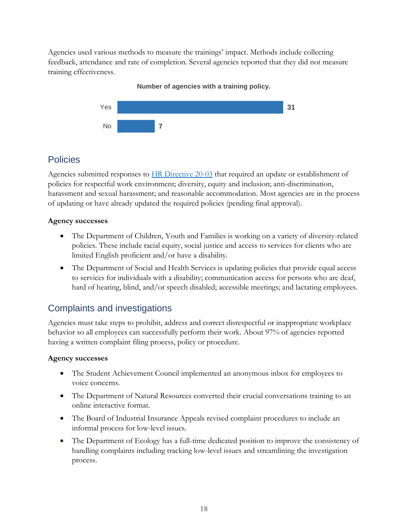Agencies used various methods to measure the trainings' impact. Methods include collecting feedback, attendance and rate of completion. Several agencies reported that they did not measure training effectiveness.

### **7 31** No Yes

**Number of agencies with a training policy.** 

### **Policies**

Agencies submitted responses to [HR Directive 20-03](https://www.ofm.wa.gov/sites/default/files/public/shr/Directives/SHR-Directive-20-03.pdf) that required an update or establishment of policies for respectful work environment; diversity, equity and inclusion; anti-discrimination, harassment and sexual harassment; and reasonable accommodation. Most agencies are in the process of updating or have already updated the required policies (pending final approval).

### **Agency successes**

- The Department of Children, Youth and Families is working on a variety of diversity-related policies. These include racial equity, social justice and access to services for clients who are limited English proficient and/or have a disability.
- The Department of Social and Health Services is updating policies that provide equal access to services for individuals with a disability; communication access for persons who are deaf, hard of hearing, blind, and/or speech disabled; accessible meetings; and lactating employees.

### Complaints and investigations

Agencies must take steps to prohibit, address and correct disrespectful or inappropriate workplace behavior so all employees can successfully perform their work. About 97% of agencies reported having a written complaint filing process, policy or procedure.

### **Agency successes**

- The Student Achievement Council implemented an anonymous inbox for employees to voice concerns.
- The Department of Natural Resources converted their crucial conversations training to an online interactive format.
- The Board of Industrial Insurance Appeals revised complaint procedures to include an informal process for low-level issues.
- The Department of Ecology has a full-time dedicated position to improve the consistency of handling complaints including tracking low-level issues and streamlining the investigation process.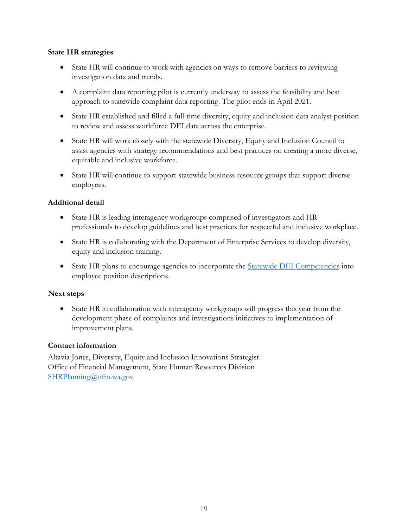#### **State HR strategies**

- State HR will continue to work with agencies on ways to remove barriers to reviewing investigation data and trends.
- A complaint data reporting pilot is currently underway to assess the feasibility and best approach to statewide complaint data reporting. The pilot ends in April 2021.
- State HR established and filled a full-time diversity, equity and inclusion data analyst position to review and assess workforce DEI data across the enterprise.
- State HR will work closely with the statewide Diversity, Equity and Inclusion Council to assist agencies with strategy recommendations and best practices on creating a more diverse, equitable and inclusive workforce.
- State HR will continue to support statewide business resource groups that support diverse employees.

### **Additional detail**

- State HR is leading interagency workgroups comprised of investigators and HR professionals to develop guidelines and best practices for respectful and inclusive workplace.
- State HR is collaborating with the Department of Enterprise Services to develop diversity, equity and inclusion training.
- State HR plans to encourage agencies to incorporate the [Statewide DEI Competencies](https://ofm.wa.gov/sites/default/files/public/shr/Diversity/SubCommit/DEI%20Competencies%20Wrkgrp%20All%20Employees%20Final%20Draft%20Accessible%2011-18-19.pdf) into employee position descriptions.

#### **Next steps**

• State HR in collaboration with interagency workgroups will progress this year from the development phase of complaints and investigations initiatives to implementation of improvement plans.

#### **Contact information**

Altavia Jones, Diversity, Equity and Inclusion Innovations Strategist Office of Financial Management, State Human Resources Division [SHRPlanning@ofm.wa.gov](mailto:SHRPlanning@ofm.wa.gov)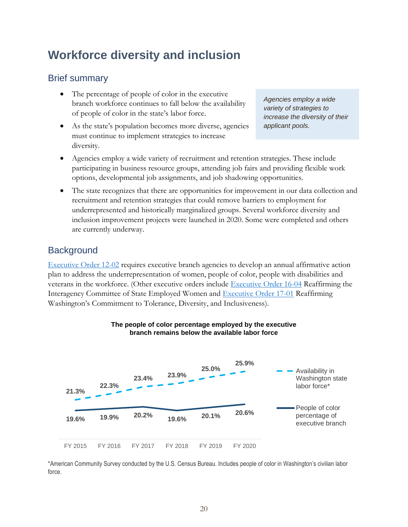# <span id="page-21-0"></span>**Workforce diversity and inclusion**

### Brief summary

- The percentage of people of color in the executive branch workforce continues to fall below the availability of people of color in the state's labor force.
- As the state's population becomes more diverse, agencies must continue to implement strategies to increase diversity.

*Agencies employ a wide variety of strategies to increase the diversity of their applicant pools.* 

- Agencies employ a wide variety of recruitment and retention strategies. These include participating in business resource groups, attending job fairs and providing flexible work options, developmental job assignments, and job shadowing opportunities.
- The state recognizes that there are opportunities for improvement in our data collection and recruitment and retention strategies that could remove barriers to employment for underrepresented and historically marginalized groups. Several workforce diversity and inclusion improvement projects were launched in 2020. Some were completed and others are currently underway.

### **Background**

[Executive Order 12-02](https://www.governor.wa.gov/sites/default/files/exe_order/eo_12-02.pdf) requires executive branch agencies to develop an annual affirmative action plan to address the underrepresentation of women, people of color, people with disabilities and veterans in the workforce. (Other executive orders include [Executive Order 16-04](https://www.governor.wa.gov/sites/default/files/exe_order/eo_16-04.pdf) Reaffirming the Interagency Committee of State Employed Women and [Executive Order 17-01](https://www.governor.wa.gov/sites/default/files/exe_order/eo_17-01.pdf) Reaffirming Washington's Commitment to Tolerance, Diversity, and Inclusiveness).



#### **The people of color percentage employed by the executive branch remains below the available labor force**

\*American Community Survey conducted by the U.S. Census Bureau. Includes people of color in Washington's civilian labor force.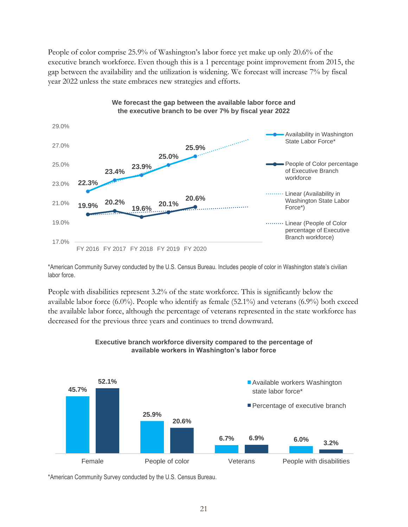People of color comprise 25.9% of Washington's labor force yet make up only 20.6% of the executive branch workforce. Even though this is a 1 percentage point improvement from 2015, the gap between the availability and the utilization is widening. We forecast will increase 7% by fiscal year 2022 unless the state embraces new strategies and efforts.



\*American Community Survey conducted by the U.S. Census Bureau. Includes people of color in Washington state's civilian labor force.

People with disabilities represent 3.2% of the state workforce. This is significantly below the available labor force  $(6.0\%)$ . People who identify as female  $(52.1\%)$  and veterans  $(6.9\%)$  both exceed the available labor force, although the percentage of veterans represented in the state workforce has decreased for the previous three years and continues to trend downward.



#### **Executive branch workforce diversity compared to the percentage of available workers in Washington's labor force**

\*American Community Survey conducted by the U.S. Census Bureau.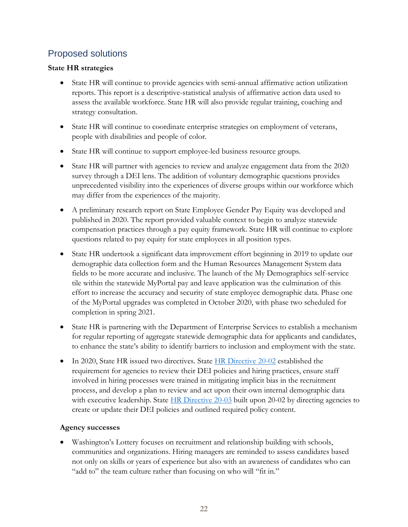### Proposed solutions

### **State HR strategies**

- State HR will continue to provide agencies with semi-annual affirmative action utilization reports. This report is a descriptive-statistical analysis of affirmative action data used to assess the available workforce. State HR will also provide regular training, coaching and strategy consultation.
- State HR will continue to coordinate enterprise strategies on employment of veterans, people with disabilities and people of color.
- State HR will continue to support employee-led business resource groups.
- State HR will partner with agencies to review and analyze engagement data from the 2020 survey through a DEI lens. The addition of voluntary demographic questions provides unprecedented visibility into the experiences of diverse groups within our workforce which may differ from the experiences of the majority.
- A preliminary research report on State Employee Gender Pay Equity was developed and published in 2020. The report provided valuable context to begin to analyze statewide compensation practices through a pay equity framework. State HR will continue to explore questions related to pay equity for state employees in all position types.
- State HR undertook a significant data improvement effort beginning in 2019 to update our demographic data collection form and the Human Resources Management System data fields to be more accurate and inclusive. The launch of the My Demographics self-service tile within the statewide MyPortal pay and leave application was the culmination of this effort to increase the accuracy and security of state employee demographic data. Phase one of the MyPortal upgrades was completed in October 2020, with phase two scheduled for completion in spring 2021.
- State HR is partnering with the Department of Enterprise Services to establish a mechanism for regular reporting of aggregate statewide demographic data for applicants and candidates, to enhance the state's ability to identify barriers to inclusion and employment with the state.
- In 2020, State HR issued two directives. State [HR Directive 20-02](https://www.ofm.wa.gov/sites/default/files/public/shr/Directives/WorkforceDiversityDirective.pdf) established the requirement for agencies to review their DEI policies and hiring practices, ensure staff involved in hiring processes were trained in mitigating implicit bias in the recruitment process, and develop a plan to review and act upon their own internal demographic data with executive leadership. State  $HR$  Directive 20-03 built upon 20-02 by directing agencies to create or update their DEI policies and outlined required policy content.

### **Agency successes**

• Washington's Lottery focuses on recruitment and relationship building with schools, communities and organizations. Hiring managers are reminded to assess candidates based not only on skills or years of experience but also with an awareness of candidates who can "add to" the team culture rather than focusing on who will "fit in."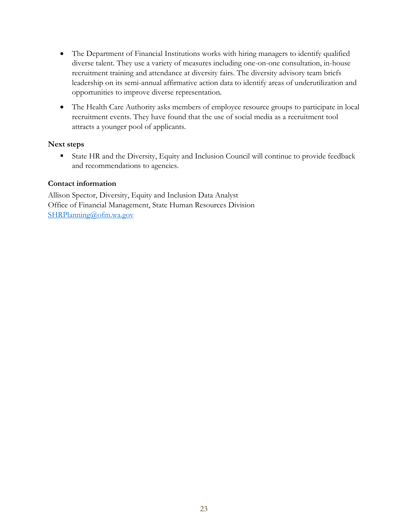- The Department of Financial Institutions works with hiring managers to identify qualified diverse talent. They use a variety of measures including one-on-one consultation, in-house recruitment training and attendance at diversity fairs. The diversity advisory team briefs leadership on its semi-annual affirmative action data to identify areas of underutilization and opportunities to improve diverse representation.
- The Health Care Authority asks members of employee resource groups to participate in local recruitment events. They have found that the use of social media as a recruitment tool attracts a younger pool of applicants.

#### **Next steps**

■ State HR and the Diversity, Equity and Inclusion Council will continue to provide feedback and recommendations to agencies.

#### **Contact information**

Allison Spector, Diversity, Equity and Inclusion Data Analyst Office of Financial Management, State Human Resources Division [SHRPlanning@ofm.wa.gov](mailto:SHRPlanning@ofm.wa.gov)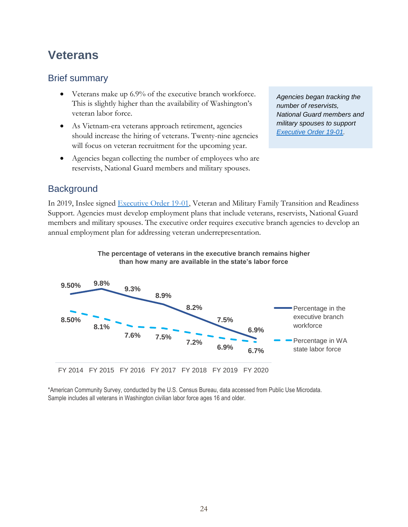## <span id="page-25-0"></span>**Veterans**

### Brief summary

- Veterans make up 6.9% of the executive branch workforce. This is slightly higher than the availability of Washington's veteran labor force.
- As Vietnam-era veterans approach retirement, agencies should increase the hiring of veterans. Twenty-nine agencies will focus on veteran recruitment for the upcoming year.
- Agencies began collecting the number of employees who are reservists, National Guard members and military spouses.

*Agencies began tracking the number of reservists, National Guard members and military spouses to support [Executive Order 19-01.](https://www.governor.wa.gov/sites/default/files/exe_order/19-01_VeteranAndMilitaryFamily%20.pdf)*

### **Background**

In 2019, Inslee signed [Executive Order 19-01,](https://www.governor.wa.gov/sites/default/files/exe_order/19-01_VeteranAndMilitaryFamily%20.pdf) Veteran and Military Family Transition and Readiness Support. Agencies must develop employment plans that include veterans, reservists, National Guard members and military spouses. The executive order requires executive branch agencies to develop an annual employment plan for addressing veteran underrepresentation.



**The percentage of veterans in the executive branch remains higher** 



FY 2014 FY 2015 FY 2016 FY 2017 FY 2018 FY 2019 FY 2020

\*American Community Survey, conducted by the U.S. Census Bureau, data accessed from Public Use Microdata. Sample includes all veterans in Washington civilian labor force ages 16 and older.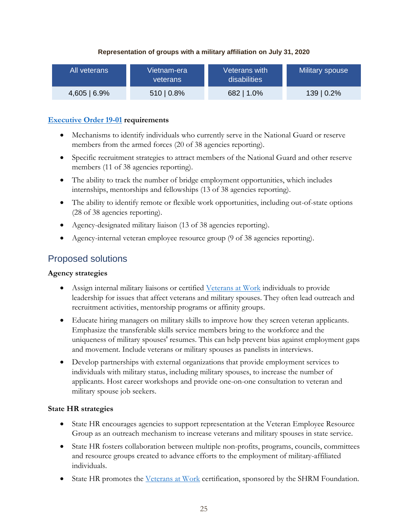#### **Representation of groups with a military affiliation on July 31, 2020**

| All veterans | Vietnam-era<br>veterans | Veterans with<br>disabilities | Military spouse |
|--------------|-------------------------|-------------------------------|-----------------|
| 4,605   6.9% | $510   0.8\%$           | 682   1.0%                    | 139   0.2%      |

#### **[Executive Order 19-01](https://www.governor.wa.gov/sites/default/files/exe_order/19-01_VeteranAndMilitaryFamily%20.pdf) requirements**

- Mechanisms to identify individuals who currently serve in the National Guard or reserve members from the armed forces (20 of 38 agencies reporting).
- Specific recruitment strategies to attract members of the National Guard and other reserve members (11 of 38 agencies reporting).
- The ability to track the number of bridge employment opportunities, which includes internships, mentorships and fellowships (13 of 38 agencies reporting).
- The ability to identify remote or flexible work opportunities, including out-of-state options (28 of 38 agencies reporting).
- Agency-designated military liaison (13 of 38 agencies reporting).
- Agency-internal veteran employee resource group (9 of 38 agencies reporting).

### Proposed solutions

#### **Agency strategies**

- Assign internal military liaisons or certified [Veterans at Work](https://www.shrm.org/foundation/about/pages/veterans-at-work-certificate-program.aspx) individuals to provide leadership for issues that affect veterans and military spouses. They often lead outreach and recruitment activities, mentorship programs or affinity groups.
- Educate hiring managers on military skills to improve how they screen veteran applicants. Emphasize the transferable skills service members bring to the workforce and the uniqueness of military spouses' resumes. This can help prevent bias against employment gaps and movement. Include veterans or military spouses as panelists in interviews.
- Develop partnerships with external organizations that provide employment services to individuals with military status, including military spouses, to increase the number of applicants. Host career workshops and provide one-on-one consultation to veteran and military spouse job seekers.

#### **State HR strategies**

- State HR encourages agencies to support representation at the Veteran Employee Resource Group as an outreach mechanism to increase veterans and military spouses in state service.
- State HR fosters collaboration between multiple non-profits, programs, councils, committees and resource groups created to advance efforts to the employment of military-affiliated individuals.
- State HR promotes the [Veterans at Work](https://www.shrm.org/foundation/about/pages/veterans-at-work-certificate-program.aspx) certification, sponsored by the SHRM Foundation.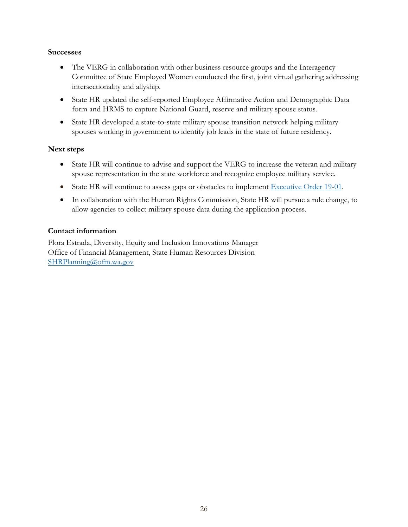#### **Successes**

- The VERG in collaboration with other business resource groups and the Interagency Committee of State Employed Women conducted the first, joint virtual gathering addressing intersectionality and allyship.
- State HR updated the self-reported Employee Affirmative Action and Demographic Data form and HRMS to capture National Guard, reserve and military spouse status.
- State HR developed a state-to-state military spouse transition network helping military spouses working in government to identify job leads in the state of future residency.

#### **Next steps**

- State HR will continue to advise and support the VERG to increase the veteran and military spouse representation in the state workforce and recognize employee military service.
- State HR will continue to assess gaps or obstacles to implement [Executive Order 19-01.](https://www.governor.wa.gov/sites/default/files/exe_order/19-01_VeteranAndMilitaryFamily%20.pdf)
- In collaboration with the Human Rights Commission, State HR will pursue a rule change, to allow agencies to collect military spouse data during the application process.

#### **Contact information**

Flora Estrada, Diversity, Equity and Inclusion Innovations Manager Office of Financial Management, State Human Resources Division [SHRPlanning@ofm.wa.gov](mailto:SHRPlanning@ofm.wa.gov)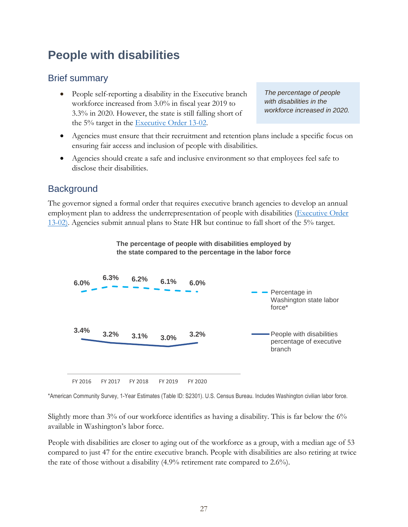# <span id="page-28-0"></span>**People with disabilities**

### Brief summary

• People self-reporting a disability in the Executive branch workforce increased from 3.0% in fiscal year 2019 to 3.3% in 2020. However, the state is still falling short of the 5% target in the [Executive Order 13-02.](https://www.governor.wa.gov/sites/default/files/exe_order/eo_13-02.pdf)

*The percentage of people with disabilities in the workforce increased in 2020.* 

- Agencies must ensure that their recruitment and retention plans include a specific focus on ensuring fair access and inclusion of people with disabilities.
- Agencies should create a safe and inclusive environment so that employees feel safe to disclose their disabilities.

### **Background**

The governor signed a formal order that requires executive branch agencies to develop an annual employment plan to address the underrepresentation of people with disabilities (Executive Order [13-02\)](https://www.governor.wa.gov/sites/default/files/exe_order/eo_13-02.pdf). Agencies submit annual plans to State HR but continue to fall short of the 5% target.



FY 2016 FY 2017 FY 2018 FY 2019 FY 2020

\*American Community Survey, 1-Year Estimates (Table ID: S2301). U.S. Census Bureau. Includes Washington civilian labor force.

Slightly more than 3% of our workforce identifies as having a disability. This is far below the 6% available in Washington's labor force.

People with disabilities are closer to aging out of the workforce as a group, with a median age of 53 compared to just 47 for the entire executive branch. People with disabilities are also retiring at twice the rate of those without a disability (4.9% retirement rate compared to 2.6%).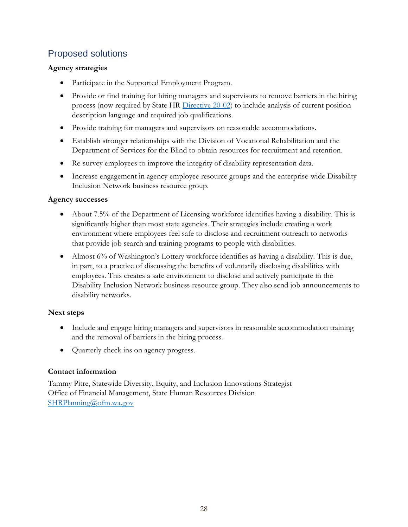### Proposed solutions

### **Agency strategies**

- Participate in the Supported Employment Program.
- Provide or find training for hiring managers and supervisors to remove barriers in the hiring process (now required by State HR [Directive 20-02\)](https://www.ofm.wa.gov/sites/default/files/public/shr/Directives/WorkforceDiversityDirective.pdf) to include analysis of current position description language and required job qualifications.
- Provide training for managers and supervisors on reasonable accommodations.
- Establish stronger relationships with the Division of Vocational Rehabilitation and the Department of Services for the Blind to obtain resources for recruitment and retention.
- Re-survey employees to improve the integrity of disability representation data.
- Increase engagement in agency employee resource groups and the enterprise-wide Disability Inclusion Network business resource group.

### **Agency successes**

- About 7.5% of the Department of Licensing workforce identifies having a disability. This is significantly higher than most state agencies. Their strategies include creating a work environment where employees feel safe to disclose and recruitment outreach to networks that provide job search and training programs to people with disabilities.
- Almost 6% of Washington's Lottery workforce identifies as having a disability. This is due, in part, to a practice of discussing the benefits of voluntarily disclosing disabilities with employees. This creates a safe environment to disclose and actively participate in the Disability Inclusion Network business resource group. They also send job announcements to disability networks.

### **Next steps**

- Include and engage hiring managers and supervisors in reasonable accommodation training and the removal of barriers in the hiring process.
- Quarterly check ins on agency progress.

### **Contact information**

Tammy Pitre, Statewide Diversity, Equity, and Inclusion Innovations Strategist Office of Financial Management, State Human Resources Division [SHRPlanning@ofm.wa.gov](mailto:SHRPlanning@ofm.wa.gov)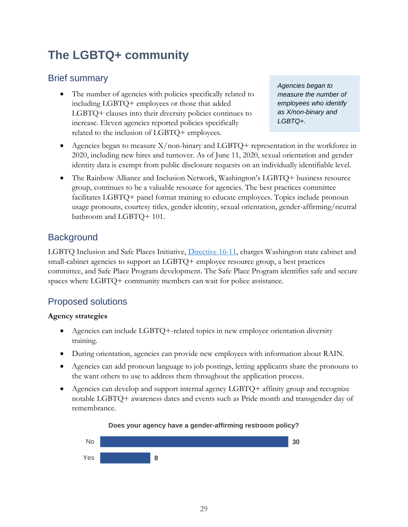# <span id="page-30-0"></span>**The LGBTQ+ community**

### Brief summary

The number of agencies with policies specifically related to including LGBTQ+ employees or those that added LGBTQ+ clauses into their diversity policies continues to increase. Eleven agencies reported policies specifically related to the inclusion of LGBTQ+ employees.

*Agencies began to measure the number of employees who identify as X/non-binary and LGBTQ+.* 

- Agencies began to measure  $X$ /non-binary and  $LGBTQ$ + representation in the workforce in 2020, including new hires and turnover. As of June 11, 2020, sexual orientation and gender identity data is exempt from public disclosure requests on an individually identifiable level.
- The Rainbow Alliance and Inclusion Network, Washington's LGBTQ+ business resource group, continues to be a valuable resource for agencies. The best practices committee facilitates LGBTQ+ panel format training to educate employees. Topics include pronoun usage pronouns, courtesy titles, gender identity, sexual orientation, gender-affirming/neutral bathroom and LGBTQ+ 101.

### **Background**

LGBTQ Inclusion and Safe Places Initiative, [Directive 16-11,](https://www.governor.wa.gov/sites/default/files/directive/dir_16-11_0.pdf) charges Washington state cabinet and small-cabinet agencies to support an LGBTQ+ employee resource group, a best practices committee, and Safe Place Program development. The Safe Place Program identifies safe and secure spaces where LGBTQ+ community members can wait for police assistance.

### Proposed solutions

### **Agency strategies**

- Agencies can include LGBTQ+-related topics in new employee orientation diversity training.
- During orientation, agencies can provide new employees with information about RAIN.
- Agencies can add pronoun language to job postings, letting applicants share the pronouns to the want others to use to address them throughout the application process.
- Agencies can develop and support internal agency LGBTQ+ affinity group and recognize notable LGBTQ+ awareness dates and events such as Pride month and transgender day of remembrance.



#### **Does your agency have a gender-affirming restroom policy?**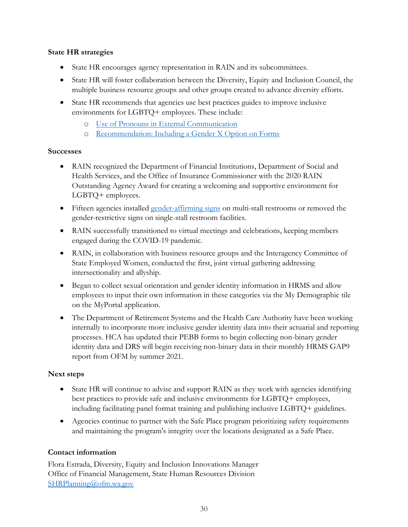#### **State HR strategies**

- State HR encourages agency representation in RAIN and its subcommittees.
- State HR will foster collaboration between the Diversity, Equity and Inclusion Council, the multiple business resource groups and other groups created to advance diversity efforts.
- State HR recommends that agencies use best practices guides to improve inclusive environments for LGBTQ+ employees. These include:
	- o [Use of Pronouns in External Communication](https://ofm.wa.gov/sites/default/files/public/shr/Diversity/BRGs/Pronouns%20Compilation%20Best%20Practices.pdf)
	- o [Recommendation: Including a Gender X Option on Forms](https://lgbtq.wa.gov/sites/default/files/2020-12/X-Nonbinary.pdf)

#### **Successes**

- RAIN recognized the Department of Financial Institutions, Department of Social and Health Services, and the Office of Insurance Commissioner with the 2020 RAIN Outstanding Agency Award for creating a welcoming and supportive environment for LGBTQ+ employees.
- Fifteen agencies installed [gender-affirming signs](https://lgbtq.wa.gov/sites/default/files/2020-12/Inclusive%20Bathroom%20Signage%20Recommendations.pdf) on multi-stall restrooms or removed the gender-restrictive signs on single-stall restroom facilities.
- RAIN successfully transitioned to virtual meetings and celebrations, keeping members engaged during the COVID-19 pandemic.
- RAIN, in collaboration with business resource groups and the Interagency Committee of State Employed Women, conducted the first, joint virtual gathering addressing intersectionality and allyship.
- Began to collect sexual orientation and gender identity information in HRMS and allow employees to input their own information in these categories via the My Demographic tile on the MyPortal application.
- The Department of Retirement Systems and the Health Care Authority have been working internally to incorporate more inclusive gender identity data into their actuarial and reporting processes. HCA has updated their PEBB forms to begin collecting non-binary gender identity data and DRS will begin receiving non-binary data in their monthly HRMS GAP9 report from OFM by summer 2021.

### **Next steps**

- State HR will continue to advise and support RAIN as they work with agencies identifying best practices to provide safe and inclusive environments for LGBTQ+ employees, including facilitating panel format training and publishing inclusive LGBTQ+ guidelines.
- Agencies continue to partner with the Safe Place program prioritizing safety requirements and maintaining the program's integrity over the locations designated as a Safe Place.

### **Contact information**

Flora Estrada, Diversity, Equity and Inclusion Innovations Manager Office of Financial Management, State Human Resources Division [SHRPlanning@ofm.wa.gov](mailto:SHRPlanning@ofm.wa.gov)